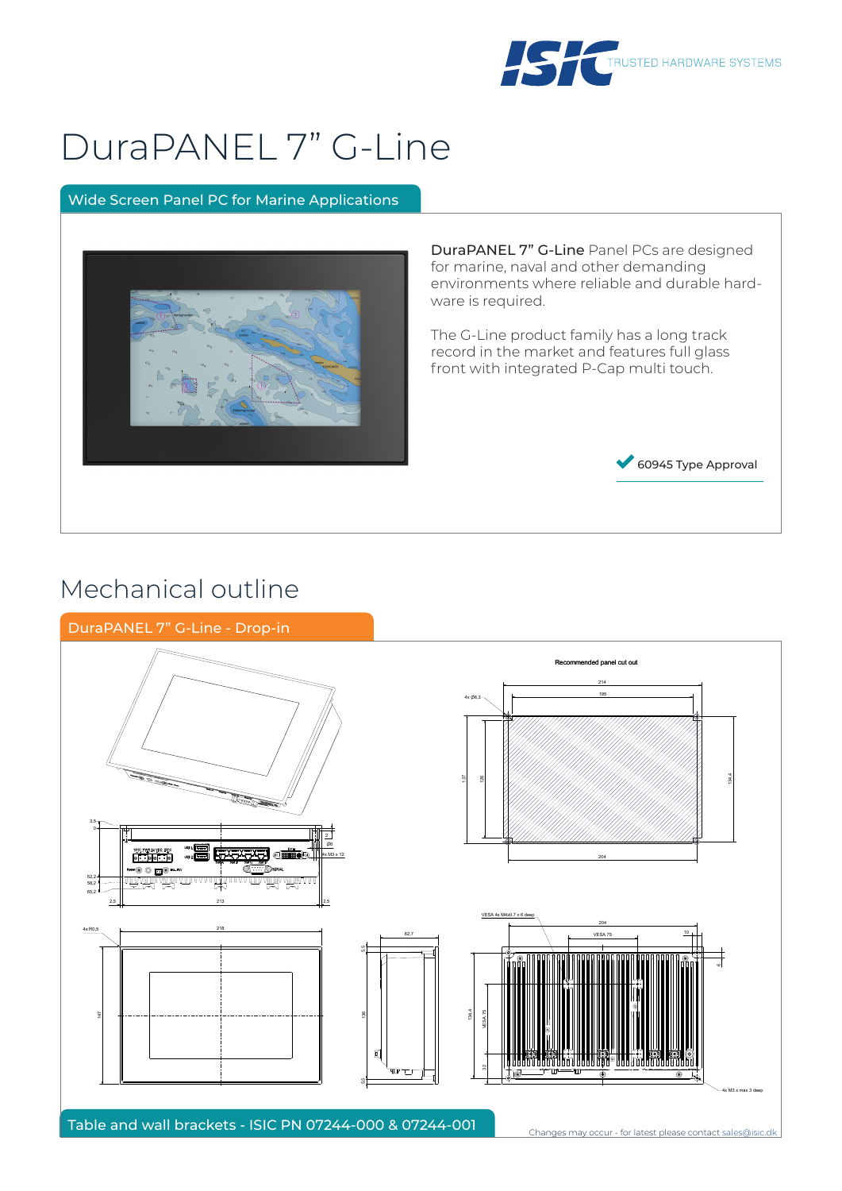

# DuraPANEL 7" G-Line

### Wide Screen Panel PC for Marine Applications



DuraPANEL 7" G-Line Panel PCs are designed for marine, naval and other demanding environments where reliable and durable hardware is required.

The G-Line product family has a long track record in the market and features full glass front with integrated P-Cap multi touch.



### Mechanical outline